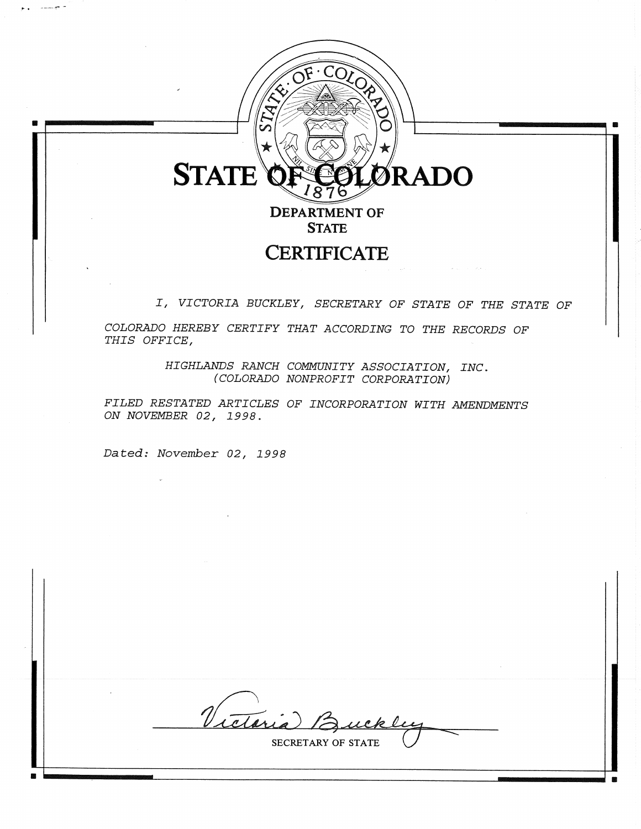

 $CO<sub>LC</sub>$ 

**STATE** 

# **CERTIFICATE**

I, VICTORIA BUCKLEY, SECRETARY OF STATE OF THE STATE OF

COLORADO HEREBY CERTIFY THAT ACCORDING TO THE RECORDS OF THIS OFFICE,

> HIGHLANDS RANCH COMMUNITY ASSOCIATION, INC. (COLORADO NONPROFIT CORPORATION)

FILED RESTATED ARTICLES OF INCORPORATION WITH AMENDMENTS ON NOVEMBER 02, 1998.

Dated: November 02, 1998

Victoria 12

SECRETARY OF STATE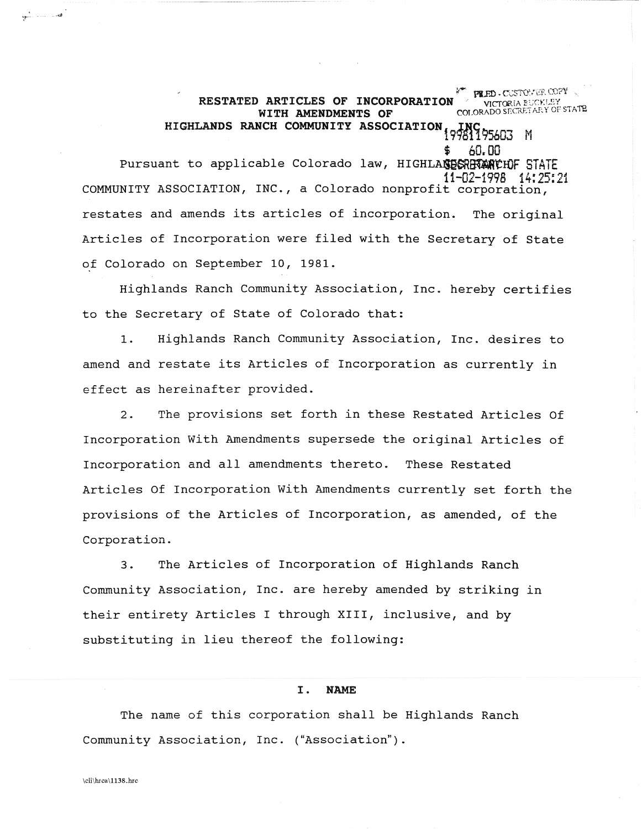RESTATED ARTICLES OF INCORPORATION WITH AMENDMENTS OF COLORADO SECRETARY OF STATE WITH AMENDMENTS OF COLORADO SECRETARY OF STATE HIGHLANDS RANCH COMMUNITY ASSOCIATION 10324 SEART M 60.00 Pursuant to applicable Colorado law, HIGHLANDESRETANCHOF STATE<br>11-02-1998 14:25:1 11-02-1998 14:25:21 COMMUNITY ASSOCIATION, INC., a Colorado nonprofit corporation, restates and amends its articles of incorporation. The original Articles of Incorporation were filed with the Secretary of State of Colorado on September 10, 1981.

**PLED. CUSTONER COPY**<br>-..... VICTORIA BUCKLEY

Highlands Ranch Community Association, Inc. hereby certifies to the Secretary of State of Colorado that:

1. Highlands Ranch Community Association, Inc. desires to amend and restate its Articles of Incorporation as currently in effect as hereinafter provided.

2. The provisions set forth in these Restated Articles Of Incorporation with Amendments supersede the original Articles of Incorporation and all amendments thereto. These Restated Articles Of Incorporation with Amendments currently set forth the provisions of the Articles of Incorporation, as amended, of the Corporation.

3. The Articles of Incorporation of Highlands Ranch Community Association, Inc. are hereby amended by striking in their entirety Articles I through XIII, inclusive, and by substituting in lieu thereof the following:

# I. NAME

The name of this corporation shall be Highlands Ranch Community Association, Inc. ("Association").

القياسيات الأثور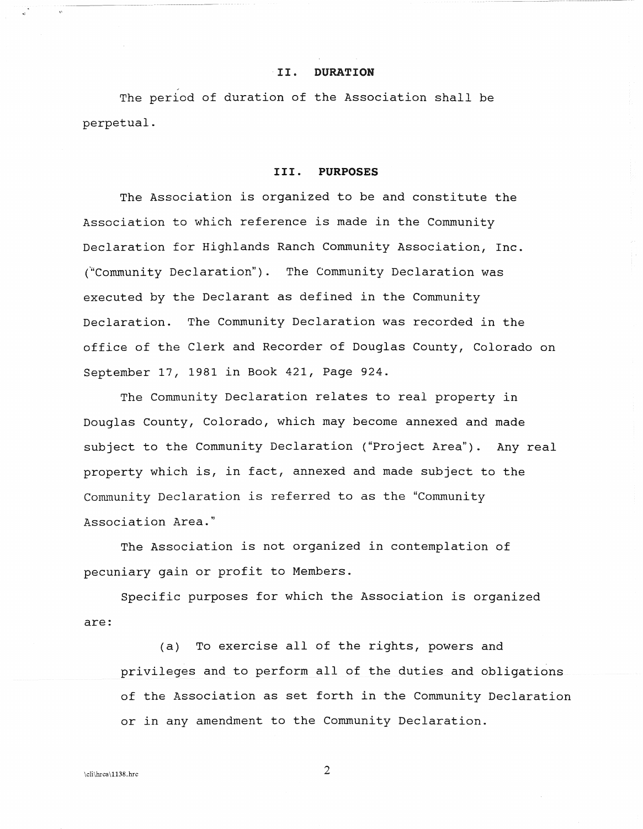#### ·11. **DURATION**

The period of duration of the Association shall be perpetual.

#### **III. PURPOSES**

The Association is organized to be and constitute the Association to which reference is made in the Community Declaration for Highlands Ranch Community Association, Inc. ("Community Declaration"). The Community Declaration was executed by the Declarant as defined in the Community Declaration. The Community Declaration was recorded in the office of the Clerk and Recorder of Douglas County, Colorado on September 17, 1981 in Book 421, Page 924.

The Community Declaration relates to real property in Douglas County, Colorado, which may become annexed and made subject to the Community Declaration ("Project Area"). Any real property which is, in fact, annexed and made subject to the Community Declaration is referred to as the "Community Association Area."

The Association is not organized in contemplation of pecuniary gain or profit to Members.

Specific purposes for which the Association is organized are:

(a) To exercise all of the rights, powers and privileges and to perform all of the duties and obligations of the Association as set forth in the Community Declaration or in any amendment to the Community Declaration.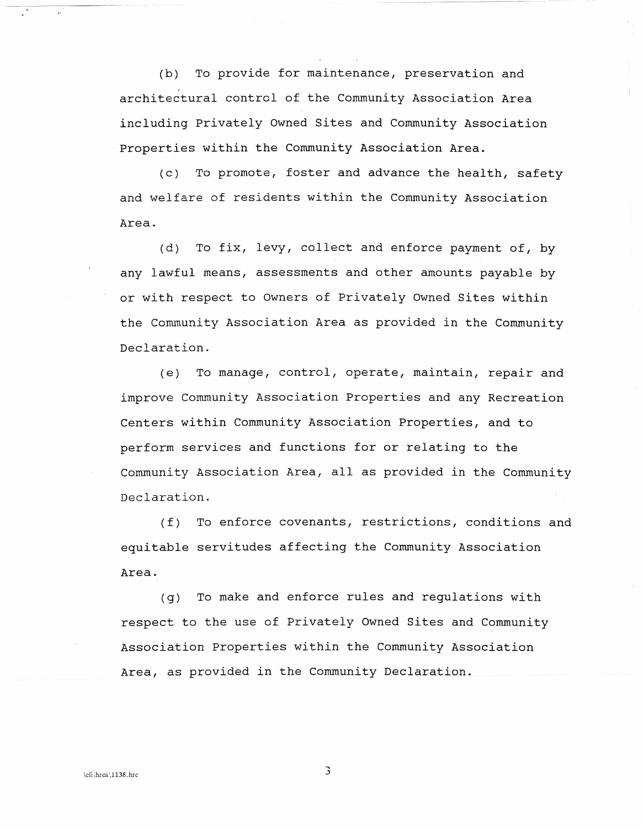(b) To provide for maintenance, preservation and , architectural control of the Community Association Area including Privately Owned Sites and Community Association Properties within the Community Association Area.

(c) To promote, foster and advance the health, safety and welfare of residents within the Community Association Area.

(d) To fix, levy, collect and enforce payment of, by any lawful means, assessments and other amounts payable by or with respect to Owners of privately Owned Sites within the Community Association Area as provided in the Community Declaration.

(e) To manage, control, operate, maintain, repair and improve Community Association Properties and any Recreation Centers within Community Association Properties, and to perform services and functions for or relating to the Community Association Area, all as provided in the Community Declaration.

(f) To enforce covenants, restrictions, conditions and equitable servitudes affecting the Community Association Area.

(g) To make and enforce rules and regulations with respect to the use of Privately Owned Sites and Community Association properties within the Community Association Area, as provided in the Community Declaration.

 $\overline{3}$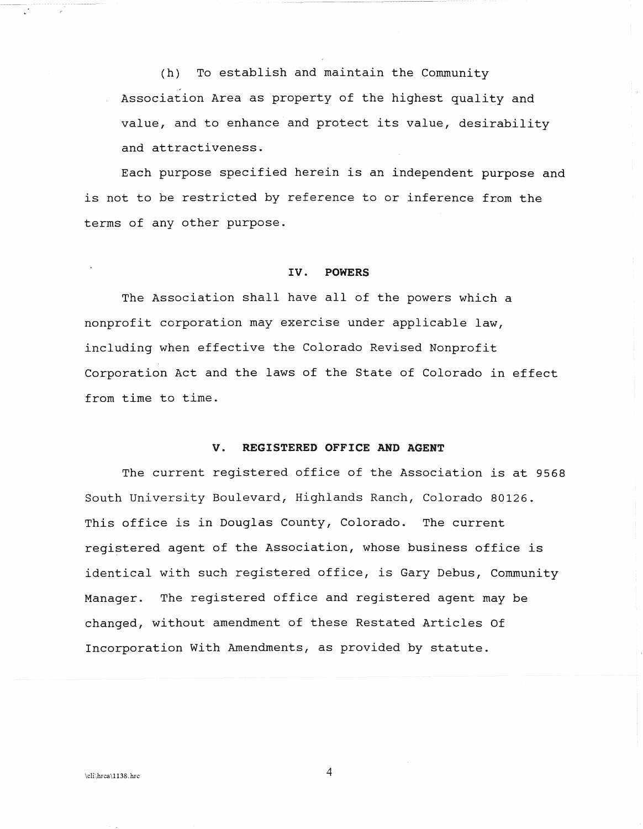(h) To establish and maintain the Community Association Area as property of the highest quality and value, and to enhance and protect its value, desirability and attractiveness.

Each purpose specified herein is an independent purpose and is not to be restricted by reference to or inference from the terms of any other purpose.

#### IV. POWERS

The Association shall have all of the powers which a nonprofit corporation may exercise under applicable law, including when effective the Colorado Revised Nonprofit Corporation Act and the laws of the State of Colorado in effect from time to time.

# V. REGISTERED OFFICE AND AGENT

The current registered office of the Association is at 9568 South University Boulevard, Highlands Ranch, Colorado 80126. This office is in Douglas County, Colorado. The current registered agent of the Association, whose business office is identical with such registered office, is Gary Debus, Community Manager. The registered office and registered agent may be changed, without amendment of these Restated Articles Of Incorporation with Amendments, as provided by statute.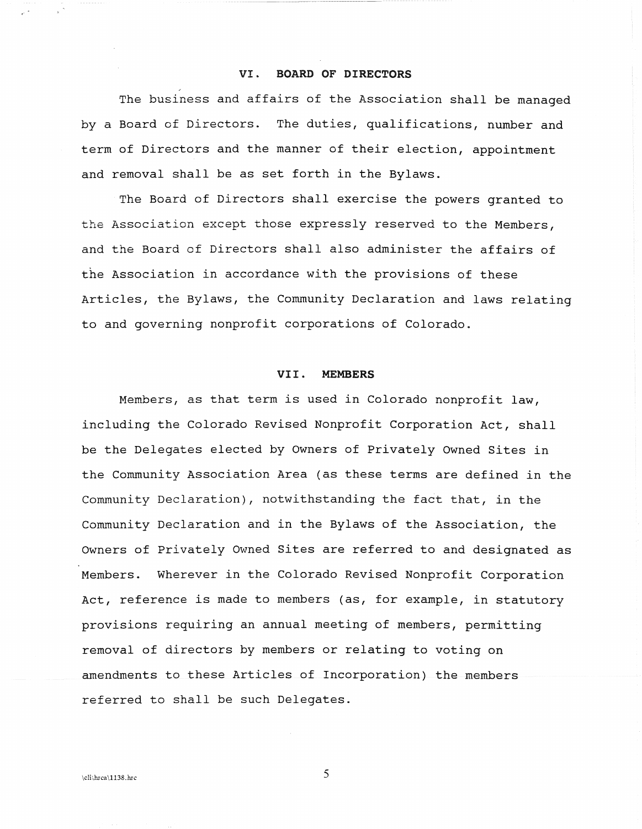#### **VI. BOARD OF DIRECTORS**

The business and affairs of the Association shall be managed by a Board of Directors. The duties, qualifications, number and term of Directors and the manner of their election, appointment and removal shall be as set forth in the Bylaws.

The Board of Directors shall exercise the powers granted to the Association except those expressly reserved to the Members, and the Board of Directors shall also administer the affairs of the Association in accordance with the provisions of these Articles, the Bylaws, the Community Declaration and laws relating to and governing nonprofit corporations of Colorado.

# **VI I . MEMBERS**

Members, as that term is used in Colorado nonprofit law, including the Colorado Revised Nonprofit Corporation Act, shall be the Delegates elected by Owners of Privately Owned Sites in the Community Association Area (as these terms are defined in the Community Declaration), notwithstanding the fact that, in the Community Declaration and in the Bylaws of the Association, the Owners of Privately Owned Sites are referred to and designated as Members. Wherever in the Colorado Revised Nonprofit Corporation Act, reference is made to members (as, for example, in statutory provisions requiring an annual meeting of members, permitting removal of directors by members or relating to voting on amendments to these Articles of Incorporation) the members referred to shall be such Delegates.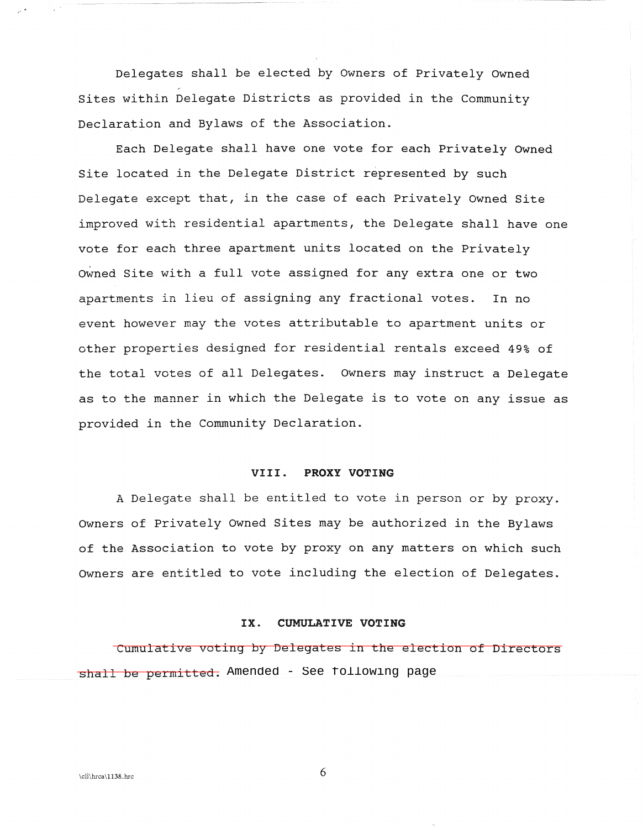Delegates shall be elected by Owners of Privately Owned Sites within Delegate Districts as provided in the Community Declaration and Bylaws of the Association.

Each Delegate shall have one vote for each Privately Owned Site located in the Delegate District represented by such Delegate except that, in the case of each Privately Owned Site improved with residential apartments, the Delegate shall have one vote for each three apartment units located on the Privately Owned Site with a full vote assigned for any extra one or two apartments in lieu of assigning any fractional votes. In no event however may the votes attributable to apartment units or other properties designed for residential rentals exceed 49% of the total votes of all Delegates. Owners may instruct a Delegate as to the manner in which the Delegate is to vote on any issue as provided in the Community Declaration.

#### VIII. PROXY VOTING

A Delegate shall be entitled to vote in person or by proxy. Owners of Privately Owned Sites may be authorized in the Bylaws of the Association to vote by proxy on any matters on which such Owners are entitled to vote including the election of Delegates.

# IX. CUMULATIVE VOTING

Cumulative voting by Delegates in the election of Directors shall be permitted. Amended - See following page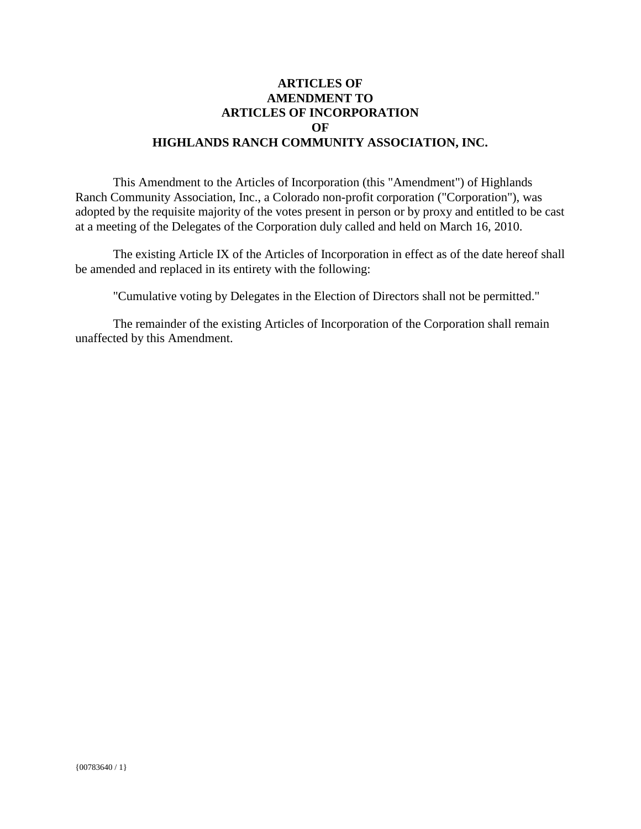# **ARTICLES OF AMENDMENT TO ARTICLES OF INCORPORATION OF HIGHLANDS RANCH COMMUNITY ASSOCIATION, INC.**

This Amendment to the Articles of Incorporation (this "Amendment") of Highlands Ranch Community Association, Inc., a Colorado non-profit corporation ("Corporation"), was adopted by the requisite majority of the votes present in person or by proxy and entitled to be cast at a meeting of the Delegates of the Corporation duly called and held on March 16, 2010.

The existing Article IX of the Articles of Incorporation in effect as of the date hereof shall be amended and replaced in its entirety with the following:

"Cumulative voting by Delegates in the Election of Directors shall not be permitted."

The remainder of the existing Articles of Incorporation of the Corporation shall remain unaffected by this Amendment.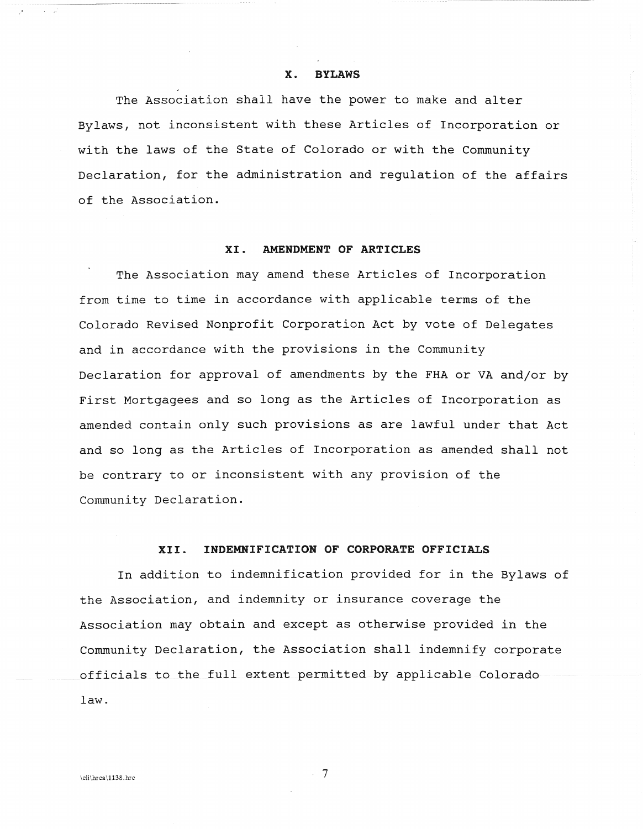#### x. BYLAWS

The Association shall have the power to make and alter Bylaws, not inconsistent with these Articles of Incorporation or with the laws of the State of Colorado or with the Community Declaration, for the administration and regulation of the affairs of the Association.

# XI. AMENDMENT OF ARTICLES

The Association may amend these Articles of Incorporation from time to time in accordance with applicable terms of the Colorado Revised Nonprofit Corporation Act by vote of Delegates and in accordance with the provisions in the Community Declaration for approval of amendments by the FHA or VA and/or by First Mortgagees and so long as the Articles of Incorporation as amended contain only such provisions as are lawful under that Act and so long as the Articles of Incorporation as amended shall not be contrary to or inconsistent with any provision of the Community Declaration.

# XII. INDEMNIFICATION OF CORPORATE OFFICIALS

In addition to indemnification provided for in the Bylaws of the Association, and indemnity or insurance coverage the Association may obtain and except as otherwise provided in the Community Declaration, the Association shall indemnify corporate officials to the full extent permitted by applicable Colorado law.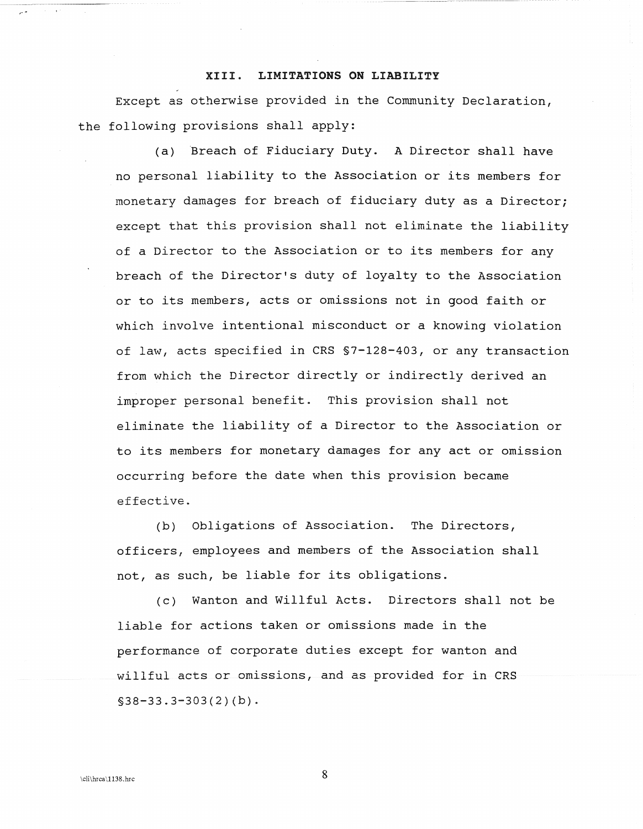#### XIII. LIMITATIONS ON LIABILITY

Except as otherwise provided in the Community Declaration, the following provisions shall apply:

(a) Breach of Fiduciary Duty. A Director shall have no personal liability to the Association or its members for monetary damages for breach of fiduciary duty as a Director; except that this provision shall not eliminate the liability of a Director to the Association or to its members for any breach of the Director's duty of loyalty to the Association or to its members, acts or omissions not in good faith or which involve intentional misconduct or a knowing violation of law, acts specified in CRS §7-128-403, or any transaction from which the Director directly or indirectly derived an improper personal benefit. This provision shall not eliminate the liability of a Director to the Association or to its members for monetary damages for any act or omission occurring before the date when this provision became effective.

(b) Obligations of Association. The Directors, officers, employees and members of the Association shall not, as such, be liable for its obligations.

(c) Wanton and Willful Acts. Directors shall not be liable for actions taken or omissions made in the performance of corporate duties except for wanton and willful acts or omissions, and as provided for in CRS  $$38-33.3-303(2)(b).$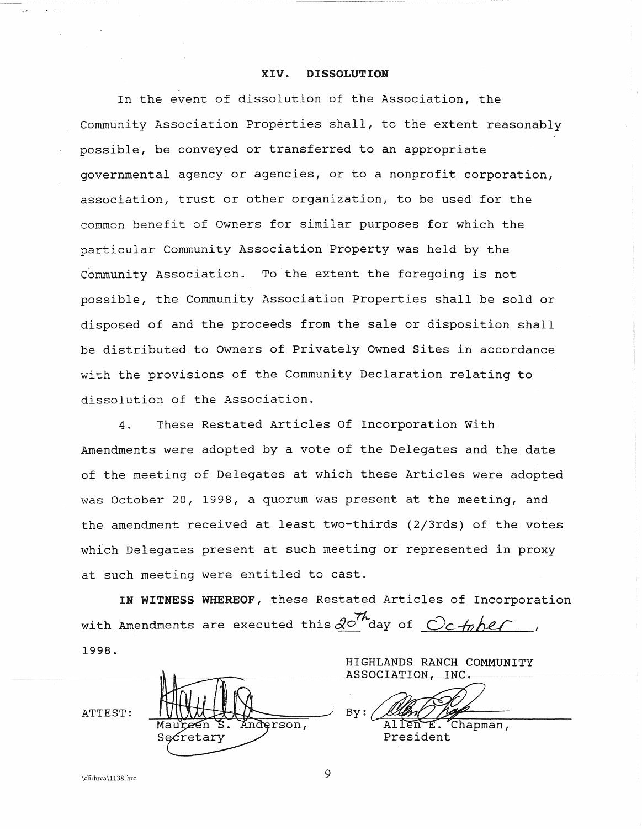#### **XIV. DISSOLUTION**

In the event of dissolution of the Association, the community Association Properties shall, to the extent reasonably possible, be conveyed or transferred to an appropriate governmental agency or agencies, or to a nonprofit corporation, association, trust or other organization, to be used for the common benefit of Owners for similar purposes for which the particular Community Association Property was held by the Community Association. To the extent the foregoing is not possible, the Community Association Properties shall be sold or disposed of and the proceeds from the sale or disposition shall be distributed to Owners of Privately Owned Sites in accordance with the provisions of the Community Declaration relating to dissolution of the Association.

4. These Restated Articles Of Incorporation with Amendments were adopted by a vote of the Delegates and the date of the meeting of Delegates at which these Articles were adopted was October 20, 1998, a quorum was present at the meeting, and the amendment received at least two-thirds (2j3rds) of the votes which Delegates present at such meeting or represented in proxy at such meeting were entitled to cast.

**IN WITNESS WHEREOF,** these Restated Articles of Incorporation with Amendments are executed this  $\mathcal{Q}^{\mathcal{O}'}$  day of  $\mathcal{O}_c$  to be *r* 1998.

ATTEST: nderson, retary

ASSOCIATION, INC.  $B_Y: \mathcal{Q}$ 

HIGHLANDS RANCH COMMUNITY

Allen E. Chapman,<br>President